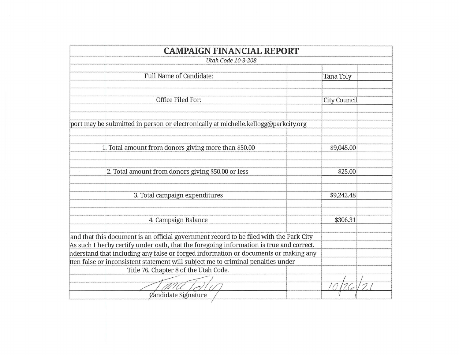| <b>CAMPAIGN FINANCIAL REPORT</b>                                                                                                                                                                                                                                                                                                                                                                                             |              |
|------------------------------------------------------------------------------------------------------------------------------------------------------------------------------------------------------------------------------------------------------------------------------------------------------------------------------------------------------------------------------------------------------------------------------|--------------|
| <b>Utah Code 10-3-208</b>                                                                                                                                                                                                                                                                                                                                                                                                    |              |
| <b>Full Name of Candidate:</b>                                                                                                                                                                                                                                                                                                                                                                                               | Tana Toly    |
| Office Filed For:                                                                                                                                                                                                                                                                                                                                                                                                            | City Council |
| port may be submitted in person or electronically at michelle.kellogg@parkcity.org                                                                                                                                                                                                                                                                                                                                           |              |
| 1. Total amount from donors giving more than \$50.00                                                                                                                                                                                                                                                                                                                                                                         | \$9,045.00   |
| 2. Total amount from donors giving \$50.00 or less                                                                                                                                                                                                                                                                                                                                                                           | \$25.00      |
| 3. Total campaign expenditures                                                                                                                                                                                                                                                                                                                                                                                               | \$9,242.48   |
| 4. Campaign Balance                                                                                                                                                                                                                                                                                                                                                                                                          | \$306.31     |
| and that this document is an official government record to be filed with the Park City<br>As such I herby certify under oath, that the foregoing information is true and correct.<br>nderstand that including any false or forged information or documents or making any<br>tten false or inconsistent statement will subject me to criminal penalties under<br>Title 76, Chapter 8 of the Utah Code.<br>Candidate Signature |              |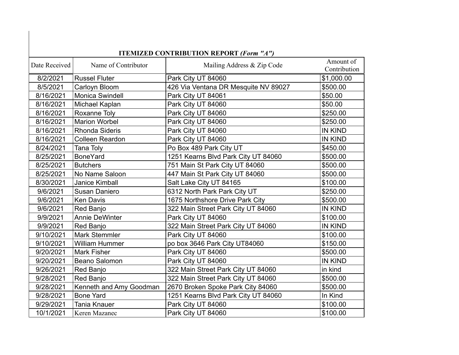| <b>ITEMIZED CONTRIBUTION REPORT (Form "A")</b> |                         |                                      |                           |  |  |
|------------------------------------------------|-------------------------|--------------------------------------|---------------------------|--|--|
| Date Received                                  | Name of Contributor     | Mailing Address & Zip Code           | Amount of<br>Contribution |  |  |
| 8/2/2021                                       | <b>Russel Fluter</b>    | Park City UT 84060                   | \$1,000.00                |  |  |
| 8/5/2021                                       | Carloyn Bloom           | 426 Via Ventana DR Mesquite NV 89027 | \$500.00                  |  |  |
| 8/16/2021                                      | Monica Swindell         | Park City UT 84061                   | \$50.00                   |  |  |
| 8/16/2021                                      | Michael Kaplan          | Park City UT 84060                   | \$50.00                   |  |  |
| 8/16/2021                                      | Roxanne Toly            | Park City UT 84060                   | \$250.00                  |  |  |
| 8/16/2021                                      | <b>Marion Worbel</b>    | Park City UT 84060                   | \$250.00                  |  |  |
| 8/16/2021                                      | Rhonda Sideris          | Park City UT 84060                   | <b>IN KIND</b>            |  |  |
| 8/16/2021                                      | <b>Colleen Reardon</b>  | Park City UT 84060                   | <b>IN KIND</b>            |  |  |
| 8/24/2021                                      | Tana Toly               | Po Box 489 Park City UT              | \$450.00                  |  |  |
| 8/25/2021                                      | <b>BoneYard</b>         | 1251 Kearns Blvd Park City UT 84060  | \$500.00                  |  |  |
| 8/25/2021                                      | <b>Butchers</b>         | 751 Main St Park City UT 84060       | \$500.00                  |  |  |
| 8/25/2021                                      | No Name Saloon          | 447 Main St Park City UT 84060       | \$500.00                  |  |  |
| 8/30/2021                                      | Janice Kimball          | Salt Lake City UT 84165              | \$100.00                  |  |  |
| 9/6/2021                                       | Susan Daniero           | 6312 North Park Park City UT         | \$250.00                  |  |  |
| 9/6/2021                                       | <b>Ken Davis</b>        | 1675 Northshore Drive Park City      | \$500.00                  |  |  |
| 9/6/2021                                       | Red Banjo               | 322 Main Street Park City UT 84060   | <b>IN KIND</b>            |  |  |
| 9/9/2021                                       | <b>Annie DeWinter</b>   | Park City UT 84060                   | \$100.00                  |  |  |
| 9/9/2021                                       | Red Banjo               | 322 Main Street Park City UT 84060   | <b>IN KIND</b>            |  |  |
| 9/10/2021                                      | <b>Mark Stemmler</b>    | Park City UT 84060                   | \$100.00                  |  |  |
| 9/10/2021                                      | <b>William Hummer</b>   | po box 3646 Park City UT84060        | \$150.00                  |  |  |
| 9/20/2021                                      | <b>Mark Fisher</b>      | Park City UT 84060                   | \$500.00                  |  |  |
| 9/20/2021                                      | Beano Salomon           | Park City UT 84060                   | <b>IN KIND</b>            |  |  |
| 9/26/2021                                      | Red Banjo               | 322 Main Street Park City UT 84060   | in kind                   |  |  |
| 9/28/2021                                      | Red Banjo               | 322 Main Street Park City UT 84060   | \$500.00                  |  |  |
| 9/28/2021                                      | Kenneth and Amy Goodman | 2670 Broken Spoke Park City 84060    | \$500.00                  |  |  |
| 9/28/2021                                      | <b>Bone Yard</b>        | 1251 Kearns Blvd Park City UT 84060  | In Kind                   |  |  |
| 9/29/2021                                      | <b>Tania Knauer</b>     | Park City UT 84060                   | \$100.00                  |  |  |
| 10/1/2021                                      | Keren Mazanec           | Park City UT 84060                   | \$100.00                  |  |  |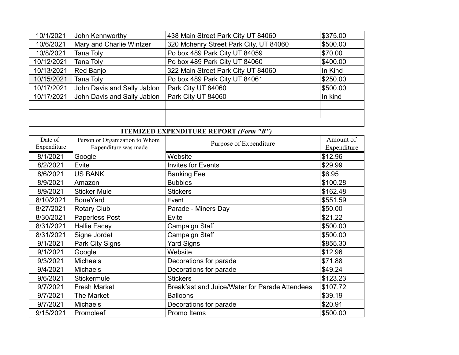| 10/1/2021   | John Kennworthy                | 438 Main Street Park City UT 84060             | \$375.00    |
|-------------|--------------------------------|------------------------------------------------|-------------|
| 10/6/2021   | Mary and Charlie Wintzer       | 320 Mchenry Street Park City, UT 84060         | \$500.00    |
| 10/8/2021   | Tana Toly                      | Po box 489 Park City UT 84059                  | \$70.00     |
| 10/12/2021  | <b>Tana Toly</b>               | Po box 489 Park City UT 84060                  | \$400.00    |
| 10/13/2021  | Red Banjo                      | 322 Main Street Park City UT 84060             | In Kind     |
| 10/15/2021  | <b>Tana Toly</b>               | Po box 489 Park City UT 84061                  | \$250.00    |
| 10/17/2021  | John Davis and Sally Jablon    | Park City UT 84060                             | \$500.00    |
| 10/17/2021  | John Davis and Sally Jablon    | Park City UT 84060                             | In kind     |
|             |                                |                                                |             |
|             |                                |                                                |             |
|             |                                |                                                |             |
|             |                                | <b>ITEMIZED EXPENDITURE REPORT (Form "B")</b>  |             |
| Date of     | Person or Organization to Whom | Purpose of Expenditure                         | Amount of   |
| Expenditure | Expenditure was made           |                                                | Expenditure |
| 8/1/2021    | Google                         | Website                                        | \$12.96     |
| 8/2/2021    | Evite                          | <b>Invites for Events</b>                      | \$29.99     |
| 8/6/2021    | <b>US BANK</b>                 | <b>Banking Fee</b>                             | \$6.95      |
| 8/9/2021    | Amazon                         | <b>Bubbles</b>                                 | \$100.28    |
| 8/9/2021    | <b>Sticker Mule</b>            | <b>Stickers</b>                                | \$162.48    |
| 8/10/2021   | <b>BoneYard</b>                | Event                                          | \$551.59    |
| 8/27/2021   | <b>Rotary Club</b>             | Parade - Miners Day                            | \$50.00     |
| 8/30/2021   | Paperless Post                 | Evite                                          | \$21.22     |
| 8/31/2021   | <b>Hallie Facey</b>            | Campaign Staff                                 | \$500.00    |
| 8/31/2021   | Signe Jordet                   | Campaign Staff                                 | \$500.00    |
| 9/1/2021    | Park City Signs                | <b>Yard Signs</b>                              | \$855.30    |
| 9/1/2021    | Google                         | Website                                        | \$12.96     |
| 9/3/2021    | <b>Michaels</b>                | Decorations for parade                         | \$71.88     |
| 9/4/2021    | <b>Michaels</b>                | Decorations for parade                         | \$49.24     |
| 9/6/2021    | Stickermule                    | <b>Stickers</b>                                | \$123.23    |
| 9/7/2021    | <b>Fresh Market</b>            | Breakfast and Juice/Water for Parade Attendees | \$107.72    |
| 9/7/2021    | The Market                     | <b>Balloons</b>                                | \$39.19     |
| 9/7/2021    | <b>Michaels</b>                | Decorations for parade                         | \$20.91     |
| 9/15/2021   | Promoleaf                      | Promo Items                                    | \$500.00    |